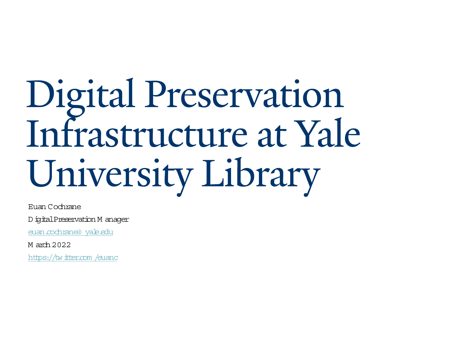# Digital Preservation<br>Infrastructure at Yale University Library

Euan Cochrane

D igitalPreservation M anager

euan cochrane@ yale.edu

M arch 2022

https://twitter.com/euanc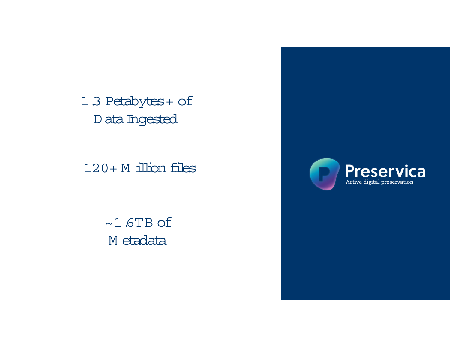1.3 Petabytes + of D ata Ingested

 $120 + M$  illion files

 $~1.6$ TB of M etadata

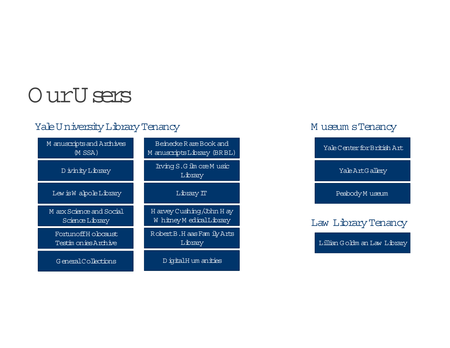## OurU sers

## Yale University Library Tenancy

| M anuscripts and Archives<br>$(M$ SSA $)$   | Beinecke R are Book and<br>M anuscripts Library (BRBL) |  |  |  |
|---------------------------------------------|--------------------------------------------------------|--|--|--|
| D ivinity Library                           | Irving S.G ilm ore M usic<br>Library                   |  |  |  |
| Lew is W alpole Library                     | Library IT                                             |  |  |  |
| M arx Science and Social<br>Science Library | H arvey Cushing/John H ay<br>W hitney M edical Library |  |  |  |
| FortunoffH obcaust                          | Robert B.H aas Fam ily Arts                            |  |  |  |
| Testin on ies Archive                       | Library                                                |  |  |  |

### Museum sTenancy

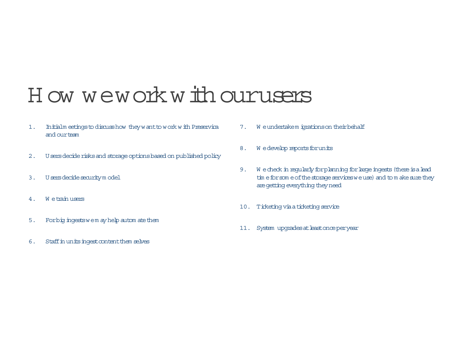## H ow we work with ourusers

- 1. Initialm eetings to discuss how they w ant to work with Preservica and our team
- 2. Users decide risks and storage options based on published policy
- 3. <sup>U</sup> sers decide security m odel
- 4. W e train users
- 5. For big ingests we m ay help autom at ethem
- 6. Staffin units ingestcontentthem selves
- 7. W e undertakem igrations on their behalf
- 8. W e develop reports for units
- 9. W e check in regularly for planning for large ingests (there is a lead tim e for som e ofthe storage services we use) and to m ake sure they are getting everything they need
- 10. Ticketing via a ticketing service
- 11. System upgrades at least once per year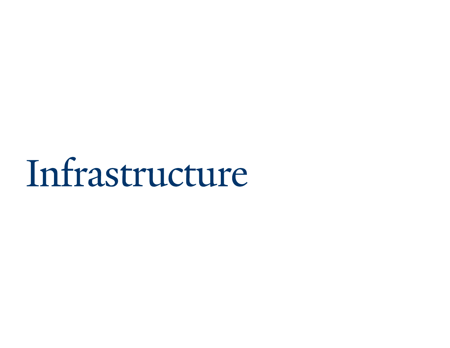# Infrastructure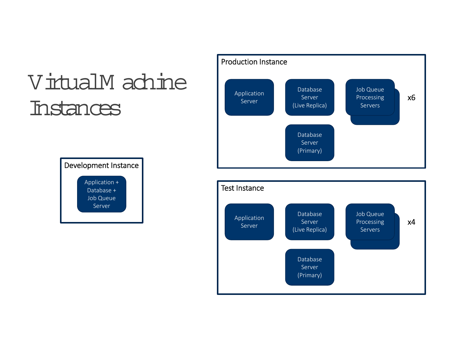# VirtualM achine Instances





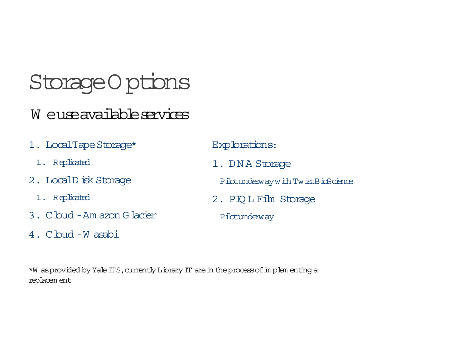## Storage Options

## W euse available services

- 1. LocalTape Storage\*
	- 1. Replicated
- 2. LocalD isk Storage
	- 1. Replicated
- 3. Cloud Am azon Glacier
- 4. Cloud Wasabi

Explorations:

1. DNA Storage

Pibtunderway with TwistBioScience

- 2. PIQ L Film Storage
	- Pilotunderway

\*W as provided by Yale ITS, currently Library IT are in the process of in plen enting a replacem ent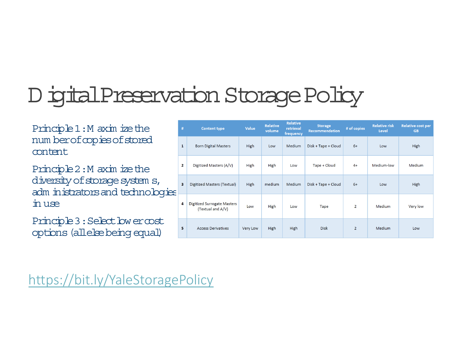# DigitalPreservation Storage Policy

Principle 1:M axim ize the num ber of copies of stored content

Principle 2:M axim ize the diversity of storage system s, adm inistrators and technologies in use

Principle 3 : Select low er cost options (allelse being equal)

| #  | <b>Content type</b>                              | Value       | <b>Relative</b><br>volume | <b>Relative</b><br>retrieval<br>frequency | <b>Storage</b><br>Recommendation | # of copies    | <b>Relative risk</b><br>Level | <b>Relative cost per</b><br><b>GB</b> |
|----|--------------------------------------------------|-------------|---------------------------|-------------------------------------------|----------------------------------|----------------|-------------------------------|---------------------------------------|
| 1  | <b>Born Digital Masters</b>                      | <b>High</b> | Low                       | Medium                                    | Disk + Tape + Cloud              | $6+$           | Low                           | <b>High</b>                           |
| 2  | Digitized Masters (A/V)                          | High        | High                      | Low                                       | Tape + Cloud                     | $4+$           | Medium-low                    | Medium                                |
| 3  | Digitized Masters (Textual)                      | High        | medium                    | <b>Medium</b>                             | Disk + Tape + Cloud              | $6+$           | Low                           | <b>High</b>                           |
| 4  | Digitized Surrogate Masters<br>(Textual and A/V) | Low         | <b>High</b>               | Low                                       | <b>Tape</b>                      | $\overline{2}$ | <b>Medium</b>                 | Very low                              |
| 5. | <b>Access Derivatives</b>                        | Very Low    | <b>High</b>               | <b>High</b>                               | <b>Disk</b>                      | $\overline{2}$ | Medium                        | Low                                   |

https://bit.ly/YaleStoragePolicy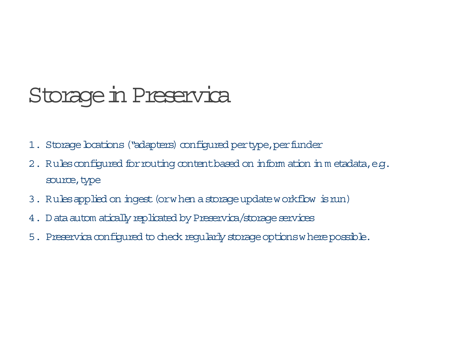## Storage in Preservica

- 1. Storage boations ("adapters) configured per type, per funder
- 2. Rules configured for routing content based on inform ation in metadata, e.g. source, type
- 3. Rules applied on ingest (or when a storage update w orkflow is run)
- 4. <sup>D</sup> ata autom atically replicated by Preservica/storage services
- 5. Preservica configured to check regularly storage options where possible.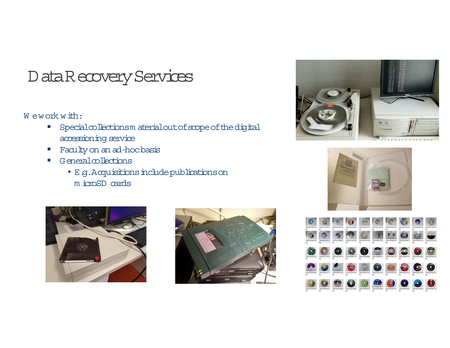## Data Recovery Services

#### W ework with:

- $\mathcal{L}_{\mathcal{A}}$ Specialcollections m aterialout of scope of the digital accessioning service
- Faculty on an ad-hoc basis
- **College**  Generalcollections
	- E.g.Acquisitions include publications on <sup>m</sup> icroSD cards









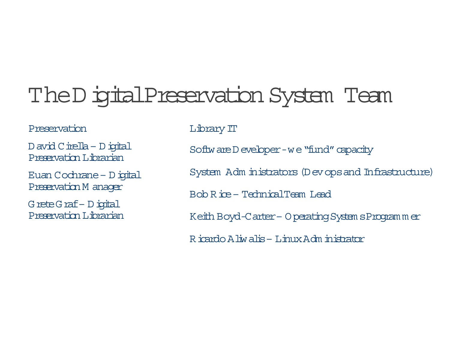## The Digital Preservation System Team

#### Preservation

<sup>D</sup> avid Cirella –Digital Preservation Librarian

Euan Cochrane –Digital Preservation M anager

Grete Graf–Digital Preservation Librarian Library IT

Software D eveloper -we "fund" capacity

System Adm inistrators (Dev ops and Infrastructure)

Bob Rice – TechnicalTeam Lead

Keith Boyd-Carter – Operating System sProgram <sup>m</sup> er

Ricardo Aliwalis– Linux Adm inistrator